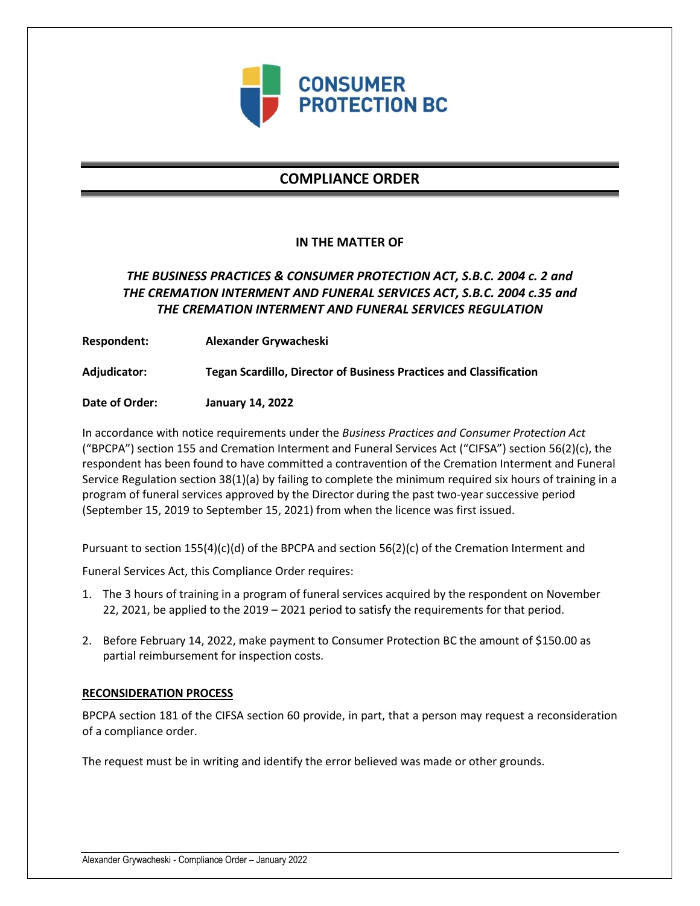

# **COMPLIANCE ORDER**

### **IN THE MATTER OF**

## *THE BUSINESS PRACTICES & CONSUMER PROTECTION ACT, S.B.C. 2004 c. 2 and THE CREMATION INTERMENT AND FUNERAL SERVICES ACT, S.B.C. 2004 c.35 and THE CREMATION INTERMENT AND FUNERAL SERVICES REGULATION*

**Respondent: Alexander Grywacheski**

**Adjudicator: Tegan Scardillo, Director of Business Practices and Classification**

**Date of Order: January 14, 2022**

In accordance with notice requirements under the *Business Practices and Consumer Protection Act* ("BPCPA") section 155 and Cremation Interment and Funeral Services Act ("CIFSA") section 56(2)(c), the respondent has been found to have committed a contravention of the Cremation Interment and Funeral Service Regulation section 38(1)(a) by failing to complete the minimum required six hours of training in a program of funeral services approved by the Director during the past two-year successive period (September 15, 2019 to September 15, 2021) from when the licence was first issued.

Pursuant to section 155(4)(c)(d) of the BPCPA and section 56(2)(c) of the Cremation Interment and

Funeral Services Act, this Compliance Order requires:

- 1. The 3 hours of training in a program of funeral services acquired by the respondent on November 22, 2021, be applied to the 2019 – 2021 period to satisfy the requirements for that period.
- 2. Before February 14, 2022, make payment to Consumer Protection BC the amount of \$150.00 as partial reimbursement for inspection costs.

### **RECONSIDERATION PROCESS**

BPCPA section 181 of the CIFSA section 60 provide, in part, that a person may request a reconsideration of a compliance order.

The request must be in writing and identify the error believed was made or other grounds.